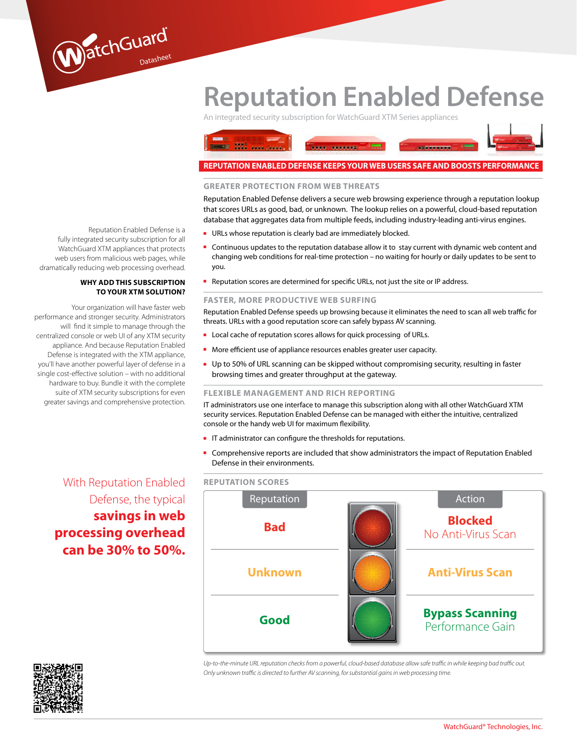# **Reputation Enabled Defense**

An integrated security subscription for WatchGuard XTM Series appliances



#### **Greater protection from web threats**

Reputation Enabled Defense delivers a secure web browsing experience through a reputation lookup that scores URLs as good, bad, or unknown. The lookup relies on a powerful, cloud-based reputation database that aggregates data from multiple feeds, including industry-leading anti-virus engines.

- URLs whose reputation is clearly bad are immediately blocked.
- Continuous updates to the reputation database allow it to stay current with dynamic web content and changing web conditions for real-time protection – no waiting for hourly or daily updates to be sent to you.
- Reputation scores are determined for specific URLs, not just the site or IP address.

#### **Faster, more productive web surfing**

Reputation Enabled Defense speeds up browsing because it eliminates the need to scan all web traffic for threats. URLs with a good reputation score can safely bypass AV scanning.

- Local cache of reputation scores allows for quick processing of URLs.
- More efficient use of appliance resources enables greater user capacity.
- Up to 50% of URL scanning can be skipped without compromising security, resulting in faster browsing times and greater throughput at the gateway.

#### **Flexible management and rich reporting**

IT administrators use one interface to manage this subscription along with all other WatchGuard XTM security services. Reputation Enabled Defense can be managed with either the intuitive, centralized console or the handy web UI for maximum flexibility.

- IT administrator can configure the thresholds for reputations.
- Comprehensive reports are included that show administrators the impact of Reputation Enabled Defense in their environments.

#### **Reputation scores**



*Up-to-the-minute URL reputation checks from a powerful, cloud-based database allow safe traffic in while keeping bad traffic out. Only unknown traffic is directed to further AV scanning, for substantial gains in web processing time.*

Reputation Enabled Defense is a fully integrated security subscription for all WatchGuard XTM appliances that protects web users from malicious web pages, while dramatically reducing web processing overhead.

WatchGuard

#### **Why add this subscription to your XTM solution?**

Your organization will have faster web performance and stronger security. Administrators will find it simple to manage through the centralized console or web UI of any XTM security appliance. And because Reputation Enabled Defense is integrated with the XTM appliance, you'll have another powerful layer of defense in a single cost-effective solution – with no additional hardware to buy. Bundle it with the complete suite of XTM security subscriptions for even greater savings and comprehensive protection.

## With Reputation Enabled Defense, the typical **savings in web processing overhead can be 30% to 50%.**